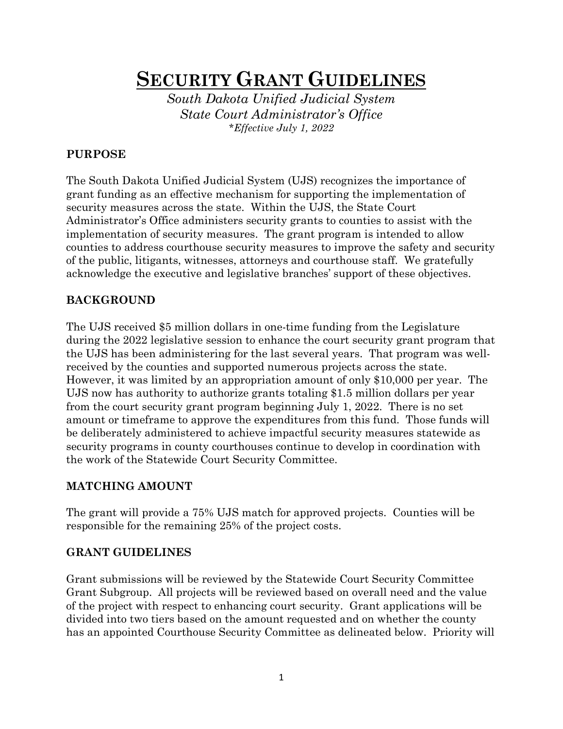# SECURITY GRANT GUIDELINES

South Dakota Unified Judicial System State Court Administrator's Office \*Effective July 1, 2022

#### PURPOSE

The South Dakota Unified Judicial System (UJS) recognizes the importance of grant funding as an effective mechanism for supporting the implementation of security measures across the state. Within the UJS, the State Court Administrator's Office administers security grants to counties to assist with the implementation of security measures. The grant program is intended to allow counties to address courthouse security measures to improve the safety and security of the public, litigants, witnesses, attorneys and courthouse staff. We gratefully acknowledge the executive and legislative branches' support of these objectives.

#### BACKGROUND

The UJS received \$5 million dollars in one-time funding from the Legislature during the 2022 legislative session to enhance the court security grant program that the UJS has been administering for the last several years. That program was wellreceived by the counties and supported numerous projects across the state. However, it was limited by an appropriation amount of only \$10,000 per year. The UJS now has authority to authorize grants totaling \$1.5 million dollars per year from the court security grant program beginning July 1, 2022. There is no set amount or timeframe to approve the expenditures from this fund. Those funds will be deliberately administered to achieve impactful security measures statewide as security programs in county courthouses continue to develop in coordination with the work of the Statewide Court Security Committee.

# MATCHING AMOUNT

The grant will provide a 75% UJS match for approved projects. Counties will be responsible for the remaining 25% of the project costs.

#### GRANT GUIDELINES

Grant submissions will be reviewed by the Statewide Court Security Committee Grant Subgroup. All projects will be reviewed based on overall need and the value of the project with respect to enhancing court security. Grant applications will be divided into two tiers based on the amount requested and on whether the county has an appointed Courthouse Security Committee as delineated below. Priority will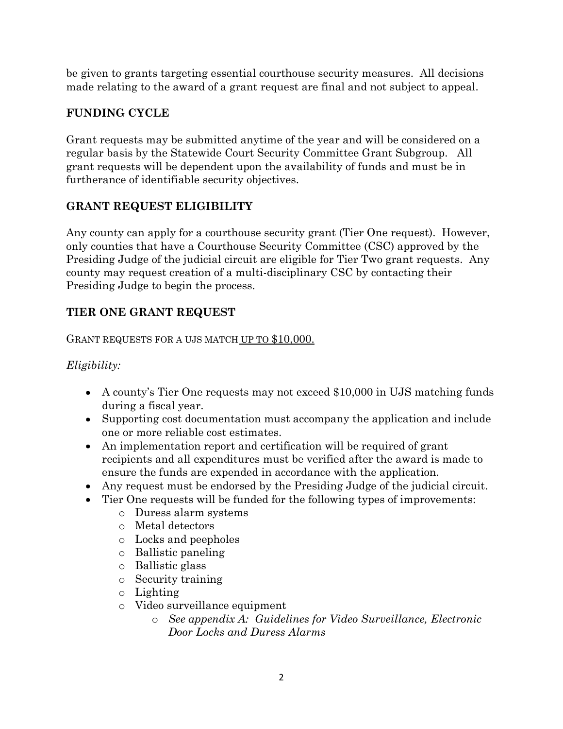be given to grants targeting essential courthouse security measures. All decisions made relating to the award of a grant request are final and not subject to appeal.

# FUNDING CYCLE

Grant requests may be submitted anytime of the year and will be considered on a regular basis by the Statewide Court Security Committee Grant Subgroup. All grant requests will be dependent upon the availability of funds and must be in furtherance of identifiable security objectives.

# GRANT REQUEST ELIGIBILITY

Any county can apply for a courthouse security grant (Tier One request). However, only counties that have a Courthouse Security Committee (CSC) approved by the Presiding Judge of the judicial circuit are eligible for Tier Two grant requests. Any county may request creation of a multi-disciplinary CSC by contacting their Presiding Judge to begin the process.

# TIER ONE GRANT REQUEST

GRANT REQUESTS FOR A UJS MATCH UP TO \$10,000.

#### Eligibility:

- A county's Tier One requests may not exceed \$10,000 in UJS matching funds during a fiscal year.
- Supporting cost documentation must accompany the application and include one or more reliable cost estimates.
- An implementation report and certification will be required of grant recipients and all expenditures must be verified after the award is made to ensure the funds are expended in accordance with the application.
- Any request must be endorsed by the Presiding Judge of the judicial circuit.
- Tier One requests will be funded for the following types of improvements:
	- o Duress alarm systems
	- o Metal detectors
	- o Locks and peepholes
	- o Ballistic paneling
	- o Ballistic glass
	- o Security training
	- o Lighting
	- o Video surveillance equipment
		- o See appendix A: Guidelines for Video Surveillance, Electronic Door Locks and Duress Alarms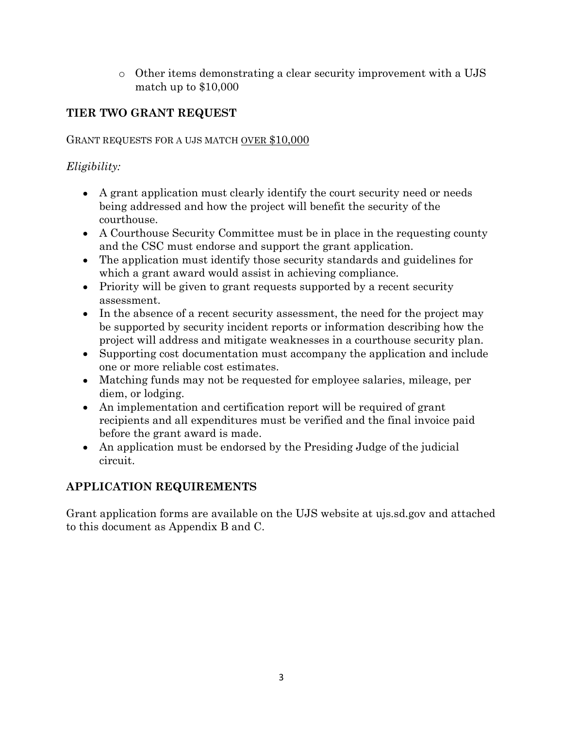o Other items demonstrating a clear security improvement with a UJS match up to \$10,000

# TIER TWO GRANT REQUEST

#### GRANT REQUESTS FOR A UJS MATCH OVER \$10,000

# Eligibility:

- A grant application must clearly identify the court security need or needs being addressed and how the project will benefit the security of the courthouse.
- A Courthouse Security Committee must be in place in the requesting county and the CSC must endorse and support the grant application.
- The application must identify those security standards and guidelines for which a grant award would assist in achieving compliance.
- Priority will be given to grant requests supported by a recent security assessment.
- In the absence of a recent security assessment, the need for the project may be supported by security incident reports or information describing how the project will address and mitigate weaknesses in a courthouse security plan.
- Supporting cost documentation must accompany the application and include one or more reliable cost estimates.
- Matching funds may not be requested for employee salaries, mileage, per diem, or lodging.
- An implementation and certification report will be required of grant recipients and all expenditures must be verified and the final invoice paid before the grant award is made.
- An application must be endorsed by the Presiding Judge of the judicial circuit.

# APPLICATION REQUIREMENTS

Grant application forms are available on the UJS website at ujs.sd.gov and attached to this document as Appendix B and C.